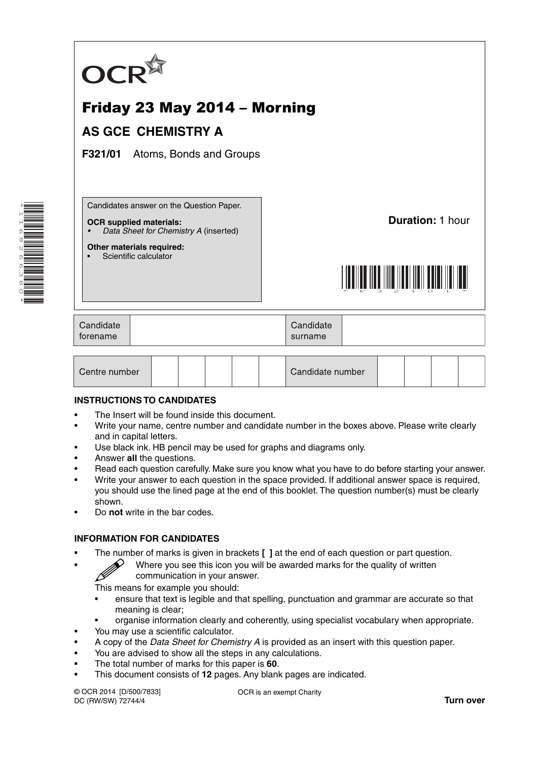

# Friday 23 May 2014 – Morning

## **AS GCE CHEMISTRY A**

**F321/01** Atoms, Bonds and Groups

Candidates answer on the Question Paper.

#### **OCR supplied materials:**

**Other materials required:** Scientific calculator

*• Data Sheet for Chemistry A* (inserted)

**Duration:** 1 hour



| Candidate<br>forename |  | Candidate<br>surname |  |
|-----------------------|--|----------------------|--|
|-----------------------|--|----------------------|--|

| Centre number |  |  |  |  |  | Candidate number |  |  |  |  |
|---------------|--|--|--|--|--|------------------|--|--|--|--|
|---------------|--|--|--|--|--|------------------|--|--|--|--|

#### **INSTRUCTIONS TO CANDIDATES**

- The Insert will be found inside this document.
- Write your name, centre number and candidate number in the boxes above. Please write clearly and in capital letters.
- Use black ink. HB pencil may be used for graphs and diagrams only.
- Answer **all** the questions.
- Read each question carefully. Make sure you know what you have to do before starting your answer.
- Write your answer to each question in the space provided. If additional answer space is required, you should use the lined page at the end of this booklet. The question number(s) must be clearly shown.
- Do **not** write in the bar codes.

#### **INFORMATION FOR CANDIDATES**

- The number of marks is given in brackets **[ ]** at the end of each question or part question.
	- Where you see this icon you will be awarded marks for the quality of written communication in your answer.

This means for example you should:

- ensure that text is legible and that spelling, punctuation and grammar are accurate so that meaning is clear;
- organise information clearly and coherently, using specialist vocabulary when appropriate.
- You may use a scientific calculator.
- A copy of the *Data Sheet for Chemistry A* is provided as an insert with this question paper.
- You are advised to show all the steps in any calculations.
- The total number of marks for this paper is **60**.
- This document consists of **12** pages. Any blank pages are indicated.

© OCR 2014 [D/500/7833] DC (RW/SW) 72744/4

OCR is an exempt Charity

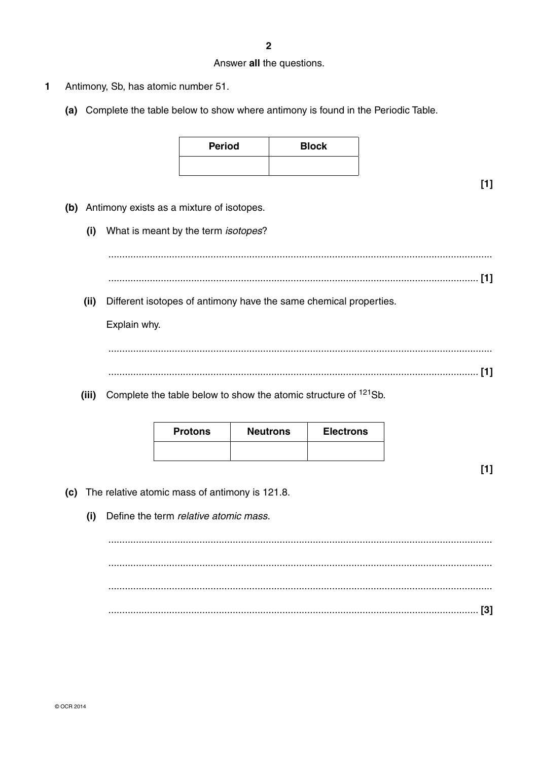### Answer all the questions.

- $\mathbf{1}$ Antimony, Sb, has atomic number 51.
	- (a) Complete the table below to show where antimony is found in the Periodic Table.

| <b>Period</b> | <b>Block</b> |
|---------------|--------------|
|               |              |

 $[1]$ 

- (b) Antimony exists as a mixture of isotopes.
	- (i) What is meant by the term *isotopes*?

(ii) Different isotopes of antimony have the same chemical properties.

Explain why.

(iii) Complete the table below to show the atomic structure of  $121$ Sb.

| <b>Protons</b> | <b>Neutrons</b> | <b>Electrons</b> |
|----------------|-----------------|------------------|
|                |                 |                  |

 $[1]$ 

- (c) The relative atomic mass of antimony is 121.8.
	- Define the term relative atomic mass.  $(i)$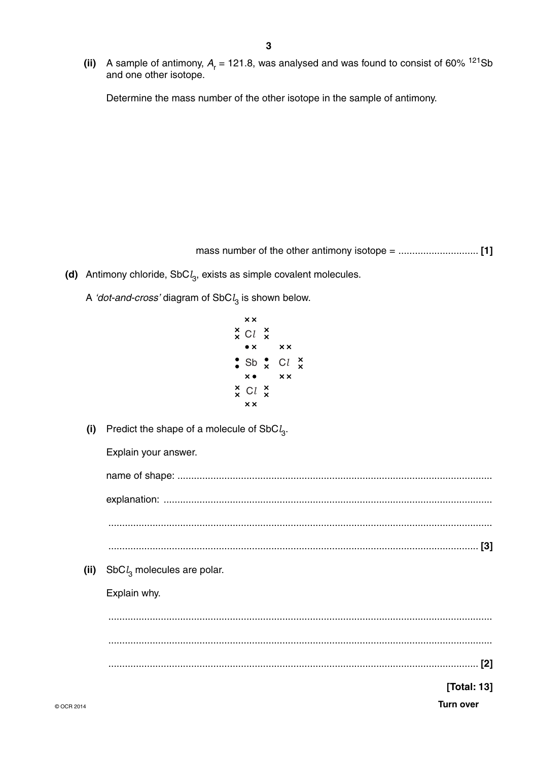(ii) A sample of antimony,  $A_r = 121.8$ , was analysed and was found to consist of 60% <sup>121</sup>Sb and one other isotope.

Determine the mass number of the other isotope in the sample of antimony.

- (d) Antimony chloride,  $SbC<sub>4</sub>$ , exists as simple covalent molecules.
	- A 'dot-and-cross' diagram of  $SbCl<sub>3</sub>$  is shown below.
		- $\times\times$  $\underset{\times}{\times}$  Cl  $\underset{\times}{\times}$  $\bullet \times$  $\times \times$  $\cdot$  Sb  $\cdot$  Cl  $\times$  $\times \bullet$  $\times\times$  $\times$  Cl  $\times$  $\times \times$
	- (i) Predict the shape of a molecule of SbC $l_3$ .

Explain your answer.

(ii) SbC $l_3$  molecules are polar.

Explain why.

[Total: 13]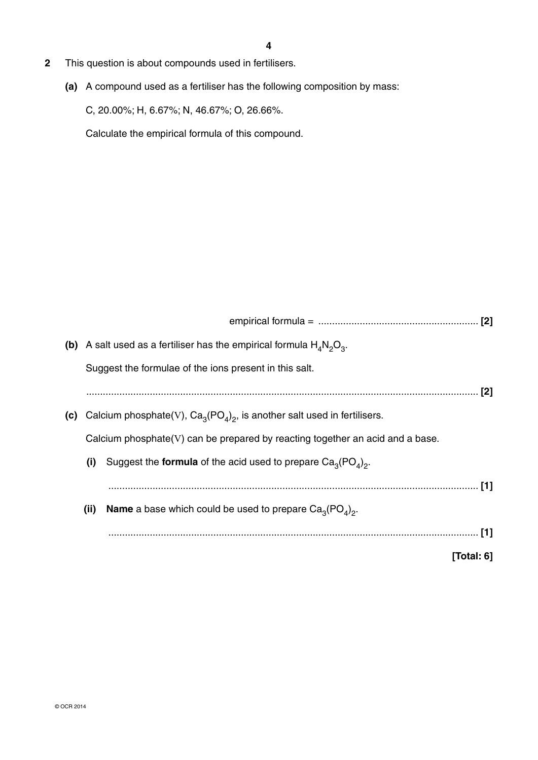- **2** This question is about compounds used in fertilisers.
	- **(a)** A compound used as a fertiliser has the following composition by mass:

C, 20.00%; H, 6.67%; N, 46.67%; O, 26.66%.

Calculate the empirical formula of this compound.

|     |      | (b) A salt used as a fertiliser has the empirical formula $H_4N_2O_3$ .       |               |
|-----|------|-------------------------------------------------------------------------------|---------------|
|     |      | Suggest the formulae of the ions present in this salt.                        |               |
|     |      |                                                                               |               |
| (c) |      | Calcium phosphate(V), $Ca_3(PO_4)_2$ , is another salt used in fertilisers.   |               |
|     |      | Calcium phosphate(V) can be prepared by reacting together an acid and a base. |               |
|     | (i)  | Suggest the <b>formula</b> of the acid used to prepare $Ca_{3}(PO_{4})_{2}$ . |               |
|     |      |                                                                               |               |
|     | (ii) | <b>Name</b> a base which could be used to prepare $Ca_3(PO_4)_2$ .            |               |
|     |      |                                                                               |               |
|     |      |                                                                               | [Total: $6$ ] |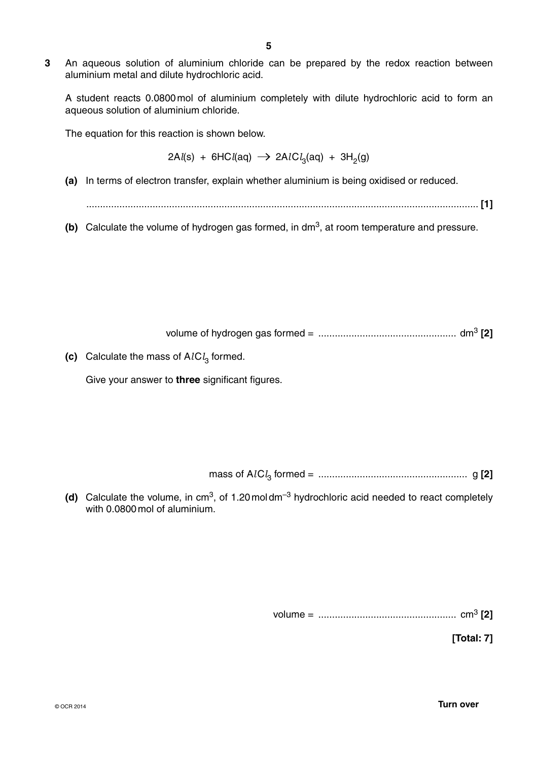**3** An aqueous solution of aluminium chloride can be prepared by the redox reaction between aluminium metal and dilute hydrochloric acid.

A student reacts 0.0800 mol of aluminium completely with dilute hydrochloric acid to form an aqueous solution of aluminium chloride.

The equation for this reaction is shown below.

2A*l*(s) + 6HC*l*(aq) → 2A*l*C*l*<sub>3</sub>(aq) + 3H<sub>2</sub>(g)

 **(a)** In terms of electron transfer, explain whether aluminium is being oxidised or reduced.

.............................................................................................................................................. **[1]**

**(b)** Calculate the volume of hydrogen gas formed, in dm<sup>3</sup>, at room temperature and pressure.

volume of hydrogen gas formed = .................................................. dm3 **[2]**

**(c)** Calculate the mass of  $AICl<sub>3</sub>$  formed.

Give your answer to **three** significant figures.

mass of A*l* C*l* 3 formed = ...................................................... g **[2]**

(d) Calculate the volume, in cm<sup>3</sup>, of 1.20 moldm<sup>-3</sup> hydrochloric acid needed to react completely with 0.0800 mol of aluminium.

volume = .................................................. cm3 **[2]**

**[Total: 7]**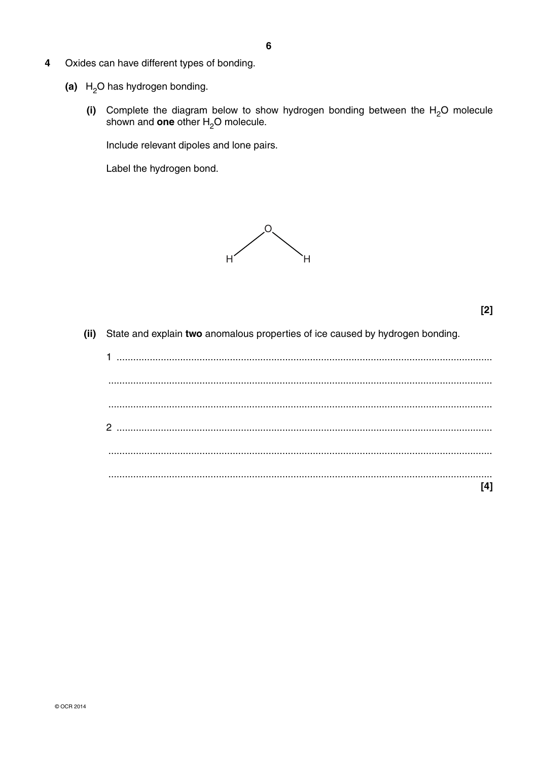- $\overline{\mathbf{4}}$ Oxides can have different types of bonding.
	- (a)  $H_2O$  has hydrogen bonding.
		- (i) Complete the diagram below to show hydrogen bonding between the  $H_2O$  molecule shown and one other  $H_2O$  molecule.

Include relevant dipoles and lone pairs.

Label the hydrogen bond.



 $[2]$ 

(ii) State and explain two anomalous properties of ice caused by hydrogen bonding.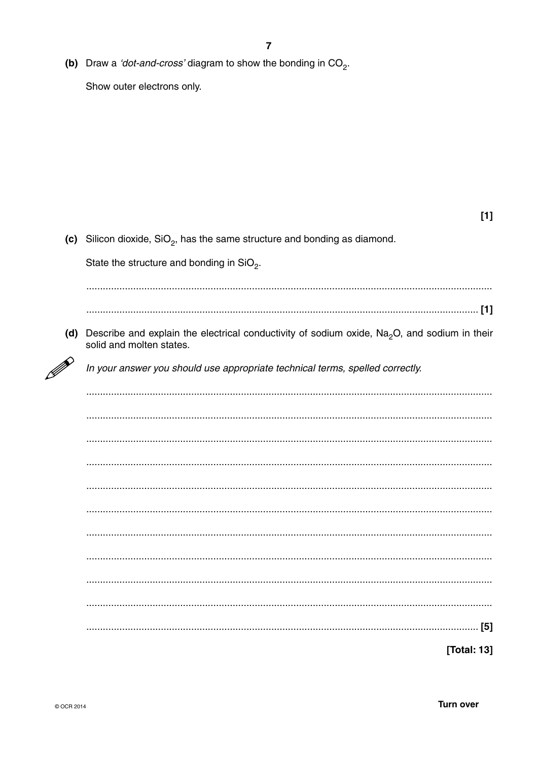(b) Draw a 'dot-and-cross' diagram to show the bonding in  $CO<sub>2</sub>$ .

Show outer electrons only.

| (c) Silicon dioxide, $SiO2$ , has the same structure and bonding as diamond.                                                   |
|--------------------------------------------------------------------------------------------------------------------------------|
| State the structure and bonding in $SiO2$ .                                                                                    |
|                                                                                                                                |
|                                                                                                                                |
| (d) Describe and explain the electrical conductivity of sodium oxide, $Na2O$ , and sodium in their<br>solid and molten states. |
| In your answer you should use appropriate technical terms, spelled correctly.                                                  |
|                                                                                                                                |
|                                                                                                                                |
|                                                                                                                                |
|                                                                                                                                |
|                                                                                                                                |
|                                                                                                                                |
|                                                                                                                                |
|                                                                                                                                |
|                                                                                                                                |
|                                                                                                                                |
|                                                                                                                                |
| [Total: 13]                                                                                                                    |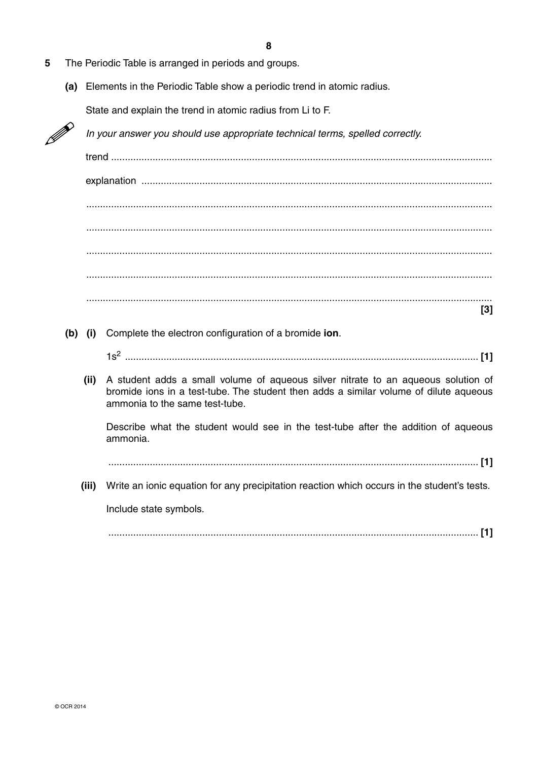- **5** The Periodic Table is arranged in periods and groups.
	- **(a)** Elements in the Periodic Table show a periodic trend in atomic radius.

State and explain the trend in atomic radius from Li to F.



*In your answer you should use appropriate technical terms, spelled correctly.*

trend .......................................................................................................................................... explanation ............................................................................................................................... ................................................................................................................................................... ................................................................................................................................................... ................................................................................................................................................... ................................................................................................................................................... ................................................................................................................................................... **[3]**

 **(b) (i)** Complete the electron configuration of a bromide **ion**.

1s2 ................................................................................................................................ **[1]**

 **(ii)** A student adds a small volume of aqueous silver nitrate to an aqueous solution of bromide ions in a test-tube. The student then adds a similar volume of dilute aqueous ammonia to the same test-tube.

Describe what the student would see in the test-tube after the addition of aqueous ammonia.

...................................................................................................................................... **[1]**

 **(iii)** Write an ionic equation for any precipitation reaction which occurs in the student's tests.

Include state symbols.

...................................................................................................................................... **[1]**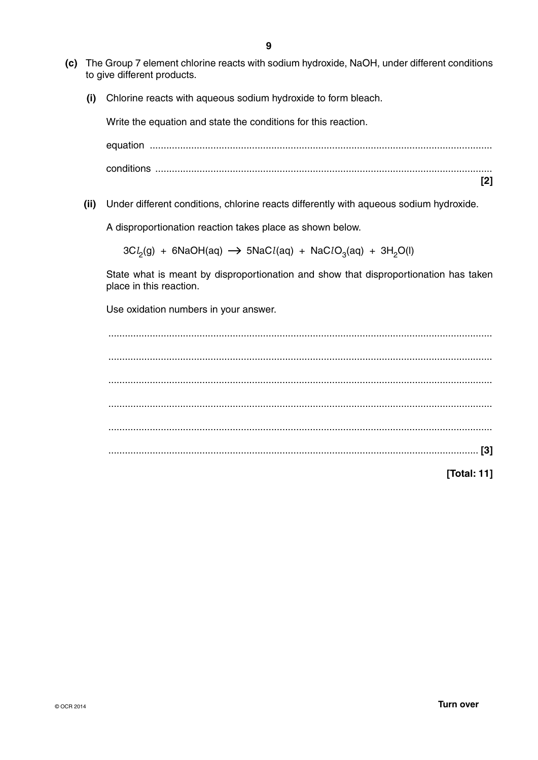- **(c)** The Group 7 element chlorine reacts with sodium hydroxide, NaOH, under different conditions to give different products.
	- **(i)** Chlorine reacts with aqueous sodium hydroxide to form bleach.

Write the equation and state the conditions for this reaction.

equation ............................................................................................................................ conditions .......................................................................................................................... **[2]**

 **(ii)** Under different conditions, chlorine reacts differently with aqueous sodium hydroxide.

A disproportionation reaction takes place as shown below.

3C*l<sub>2</sub>*(g) + 6NaOH(aq) → 5NaC*l*(aq) + NaC*l*O<sub>3</sub>(aq) + 3H<sub>2</sub>O(l)

State what is meant by disproportionation and show that disproportionation has taken place in this reaction.

Use oxidation numbers in your answer.

 ........................................................................................................................................... ........................................................................................................................................... ........................................................................................................................................... ........................................................................................................................................... ........................................................................................................................................... ...................................................................................................................................... **[3]**

**[Total: 11]**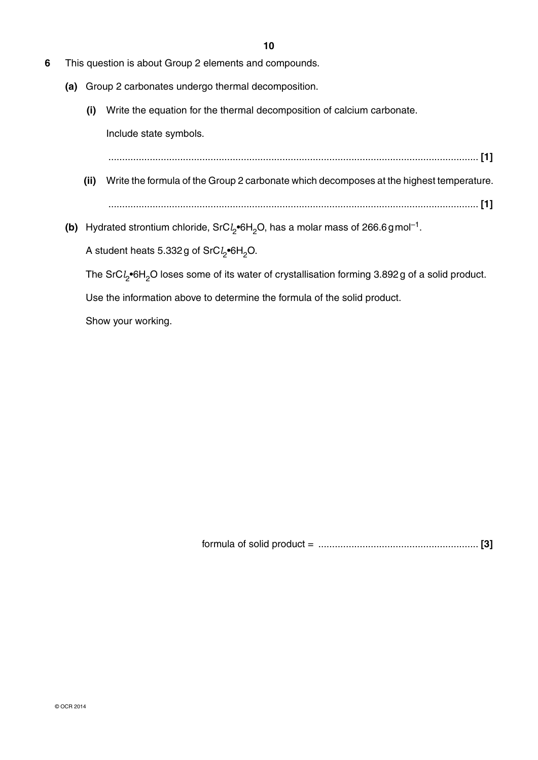- **6** This question is about Group 2 elements and compounds.
	- **(a)** Group 2 carbonates undergo thermal decomposition.
		- **(i)** Write the equation for the thermal decomposition of calcium carbonate.

Include state symbols.

...................................................................................................................................... **[1]**

- **(ii)** Write the formula of the Group 2 carbonate which decomposes at the highest temperature. ...................................................................................................................................... **[1]**
- **(b)** Hydrated strontium chloride, SrC*l*<sub>2</sub>•6H<sub>2</sub>O, has a molar mass of 266.6 g mol<sup>-1</sup>.

A student heats 5.332 g of SrC*l* 2•6H2O.

The SrC*l*<sub>2</sub>•6H<sub>2</sub>O loses some of its water of crystallisation forming 3.892g of a solid product.

Use the information above to determine the formula of the solid product.

Show your working.

formula of solid product = .......................................................... **[3]**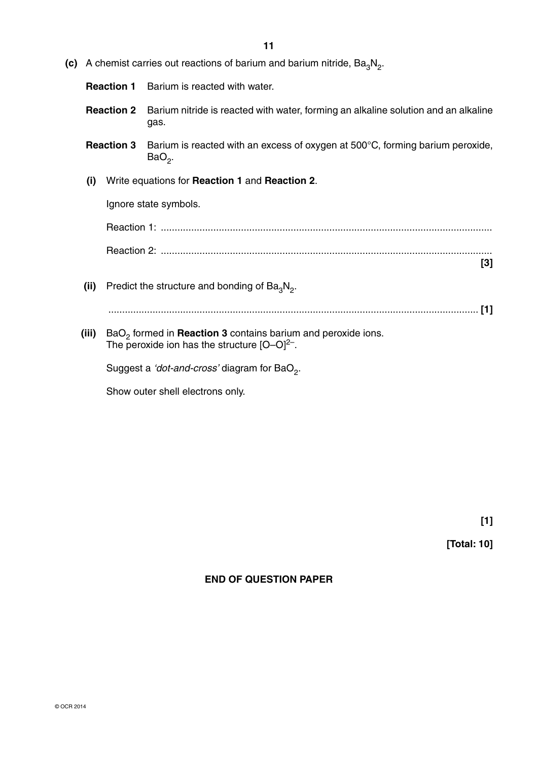| (c) |                   |  | A chemist carries out reactions of barium and barium nitride, $Ba3N2$ .                                                                        |
|-----|-------------------|--|------------------------------------------------------------------------------------------------------------------------------------------------|
|     | <b>Reaction 1</b> |  | Barium is reacted with water.                                                                                                                  |
|     | <b>Reaction 2</b> |  | Barium nitride is reacted with water, forming an alkaline solution and an alkaline<br>gas.                                                     |
|     | <b>Reaction 3</b> |  | Barium is reacted with an excess of oxygen at 500°C, forming barium peroxide,<br>$BaO2$ .                                                      |
|     | (i)               |  | Write equations for Reaction 1 and Reaction 2.                                                                                                 |
|     |                   |  | Ignore state symbols.                                                                                                                          |
|     |                   |  |                                                                                                                                                |
|     |                   |  | $[3]$                                                                                                                                          |
|     | (ii)              |  | Predict the structure and bonding of $Ba3N2$ .                                                                                                 |
|     |                   |  | [1]                                                                                                                                            |
|     | (iii)             |  | BaO <sub>2</sub> formed in <b>Reaction 3</b> contains barium and peroxide ions.<br>The peroxide ion has the structure $[O-O]^2$ <sup>-</sup> . |
|     |                   |  | Suggest a 'dot-and-cross' diagram for BaO <sub>2</sub> .                                                                                       |
|     |                   |  | Show outer shell electrons only.                                                                                                               |

**[Total: 10]**

**END OF QUESTION PAPER**